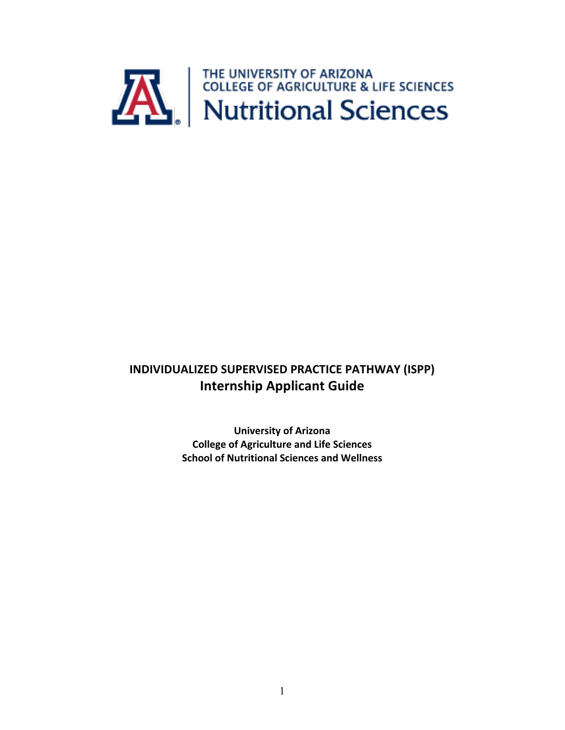

# **INDIVIDUALIZED SUPERVISED PRACTICE PATHWAY (ISPP) Internship Applicant Guide**

**University of Arizona College of Agriculture and Life Sciences School of Nutritional Sciences and Wellness**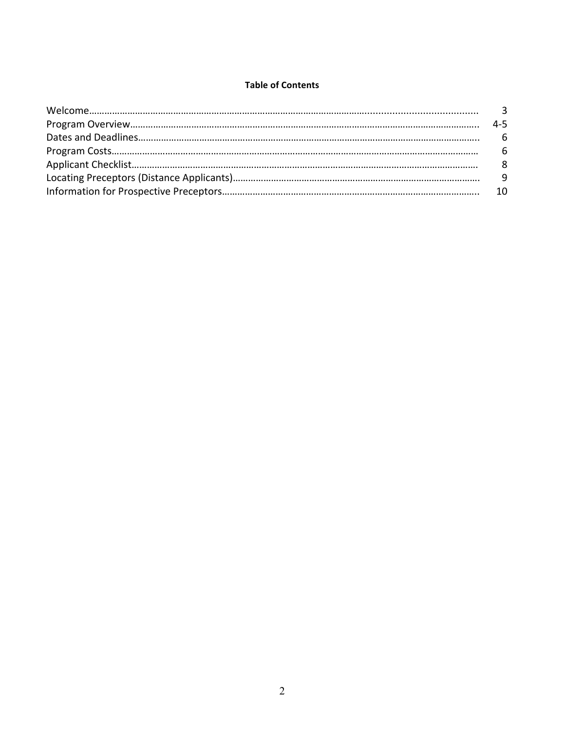#### **Table of Contents**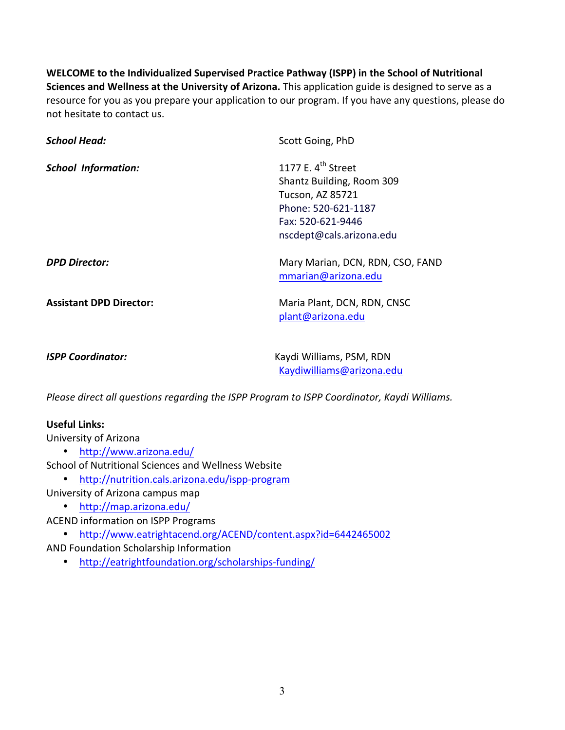**WELCOME** to the Individualized Supervised Practice Pathway (ISPP) in the School of Nutritional **Sciences and Wellness at the University of Arizona.** This application guide is designed to serve as a resource for you as you prepare your application to our program. If you have any questions, please do not hesitate to contact us.

| <b>School Head:</b>            | Scott Going, PhD                                        |
|--------------------------------|---------------------------------------------------------|
| <b>School Information:</b>     | 1177 E. 4 <sup>th</sup> Street                          |
|                                | Shantz Building, Room 309                               |
|                                | Tucson, AZ 85721                                        |
|                                | Phone: 520-621-1187                                     |
|                                | Fax: 520-621-9446                                       |
|                                | nscdept@cals.arizona.edu                                |
| <b>DPD Director:</b>           | Mary Marian, DCN, RDN, CSO, FAND<br>mmarian@arizona.edu |
| <b>Assistant DPD Director:</b> | Maria Plant, DCN, RDN, CNSC<br>plant@arizona.edu        |
| <b>ISPP Coordinator:</b>       | Kaydi Williams, PSM, RDN<br>Kaydiwilliams@arizona.edu   |

*Please direct all questions regarding the ISPP Program to ISPP Coordinator, Kaydi Williams.* 

### **Useful Links:**

University of Arizona

• http://www.arizona.edu/

School of Nutritional Sciences and Wellness Website

- http://nutrition.cals.arizona.edu/ispp-program
- University of Arizona campus map
	- http://map.arizona.edu/

ACEND information on ISPP Programs

- http://www.eatrightacend.org/ACEND/content.aspx?id=6442465002
- AND Foundation Scholarship Information
	- http://eatrightfoundation.org/scholarships-funding/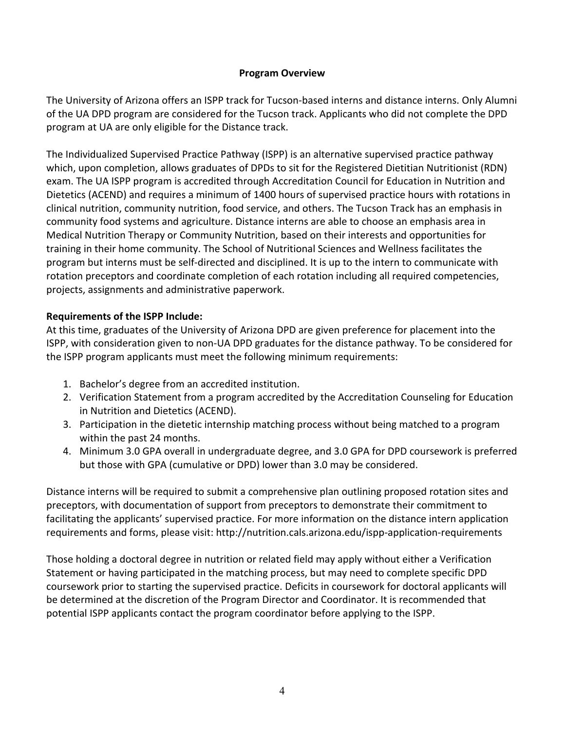### **Program Overview**

The University of Arizona offers an ISPP track for Tucson-based interns and distance interns. Only Alumni of the UA DPD program are considered for the Tucson track. Applicants who did not complete the DPD program at UA are only eligible for the Distance track.

The Individualized Supervised Practice Pathway (ISPP) is an alternative supervised practice pathway which, upon completion, allows graduates of DPDs to sit for the Registered Dietitian Nutritionist (RDN) exam. The UA ISPP program is accredited through Accreditation Council for Education in Nutrition and Dietetics (ACEND) and requires a minimum of 1400 hours of supervised practice hours with rotations in clinical nutrition, community nutrition, food service, and others. The Tucson Track has an emphasis in community food systems and agriculture. Distance interns are able to choose an emphasis area in Medical Nutrition Therapy or Community Nutrition, based on their interests and opportunities for training in their home community. The School of Nutritional Sciences and Wellness facilitates the program but interns must be self-directed and disciplined. It is up to the intern to communicate with rotation preceptors and coordinate completion of each rotation including all required competencies, projects, assignments and administrative paperwork.

### **Requirements of the ISPP Include:**

At this time, graduates of the University of Arizona DPD are given preference for placement into the ISPP, with consideration given to non-UA DPD graduates for the distance pathway. To be considered for the ISPP program applicants must meet the following minimum requirements:

- 1. Bachelor's degree from an accredited institution.
- 2. Verification Statement from a program accredited by the Accreditation Counseling for Education in Nutrition and Dietetics (ACEND).
- 3. Participation in the dietetic internship matching process without being matched to a program within the past 24 months.
- 4. Minimum 3.0 GPA overall in undergraduate degree, and 3.0 GPA for DPD coursework is preferred but those with GPA (cumulative or DPD) lower than 3.0 may be considered.

Distance interns will be required to submit a comprehensive plan outlining proposed rotation sites and preceptors, with documentation of support from preceptors to demonstrate their commitment to facilitating the applicants' supervised practice. For more information on the distance intern application requirements and forms, please visit: http://nutrition.cals.arizona.edu/ispp-application-requirements

Those holding a doctoral degree in nutrition or related field may apply without either a Verification Statement or having participated in the matching process, but may need to complete specific DPD coursework prior to starting the supervised practice. Deficits in coursework for doctoral applicants will be determined at the discretion of the Program Director and Coordinator. It is recommended that potential ISPP applicants contact the program coordinator before applying to the ISPP.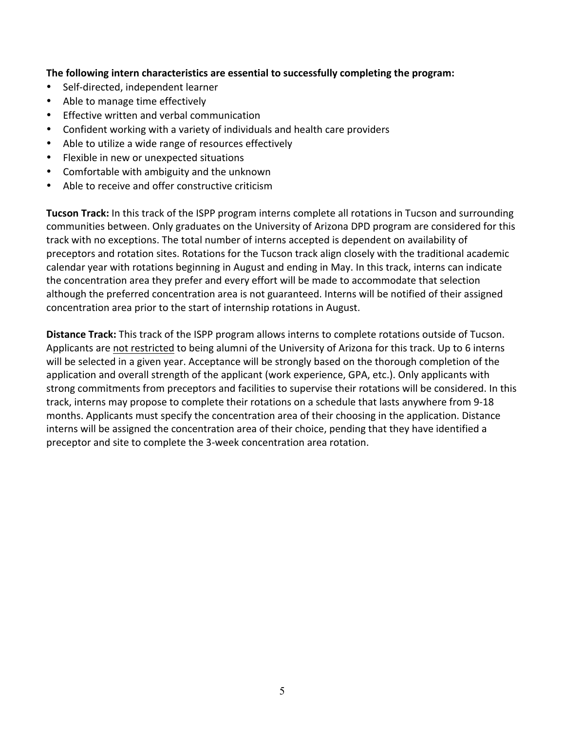### The following intern characteristics are essential to successfully completing the program:

- Self-directed, independent learner
- Able to manage time effectively
- Effective written and verbal communication
- Confident working with a variety of individuals and health care providers
- Able to utilize a wide range of resources effectively
- Flexible in new or unexpected situations
- Comfortable with ambiguity and the unknown
- Able to receive and offer constructive criticism

**Tucson Track:** In this track of the ISPP program interns complete all rotations in Tucson and surrounding communities between. Only graduates on the University of Arizona DPD program are considered for this track with no exceptions. The total number of interns accepted is dependent on availability of preceptors and rotation sites. Rotations for the Tucson track align closely with the traditional academic calendar year with rotations beginning in August and ending in May. In this track, interns can indicate the concentration area they prefer and every effort will be made to accommodate that selection although the preferred concentration area is not guaranteed. Interns will be notified of their assigned concentration area prior to the start of internship rotations in August.

**Distance Track:** This track of the ISPP program allows interns to complete rotations outside of Tucson. Applicants are not restricted to being alumni of the University of Arizona for this track. Up to 6 interns will be selected in a given year. Acceptance will be strongly based on the thorough completion of the application and overall strength of the applicant (work experience, GPA, etc.). Only applicants with strong commitments from preceptors and facilities to supervise their rotations will be considered. In this track, interns may propose to complete their rotations on a schedule that lasts anywhere from 9-18 months. Applicants must specify the concentration area of their choosing in the application. Distance interns will be assigned the concentration area of their choice, pending that they have identified a preceptor and site to complete the 3-week concentration area rotation.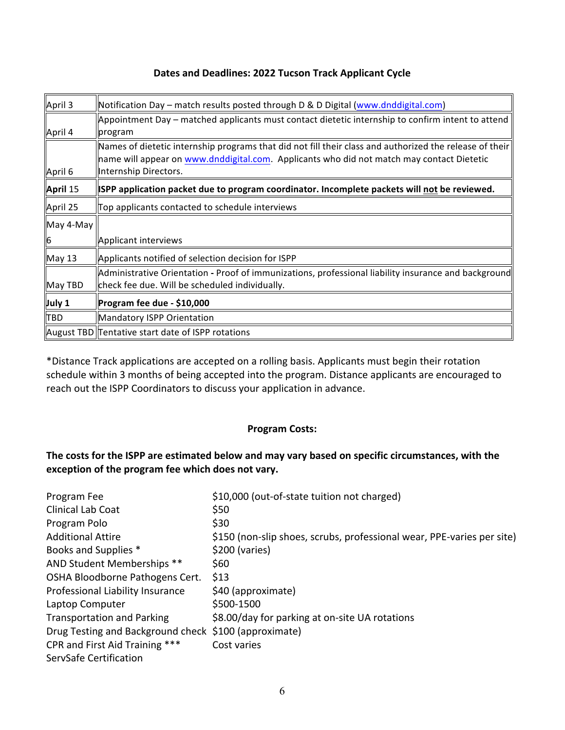### **Dates and Deadlines: 2022 Tucson Track Applicant Cycle**

| April 3       | Notification Day – match results posted through D & D Digital (www.dnddigital.com)                                                                                                                                            |  |
|---------------|-------------------------------------------------------------------------------------------------------------------------------------------------------------------------------------------------------------------------------|--|
| April 4       | Appointment Day – matched applicants must contact dietetic internship to confirm intent to attend<br>program                                                                                                                  |  |
| April 6       | Names of dietetic internship programs that did not fill their class and authorized the release of their<br>name will appear on www.dnddigital.com. Applicants who did not match may contact Dietetic<br>Internship Directors. |  |
| April 15      | SPP application packet due to program coordinator. Incomplete packets will not be reviewed.                                                                                                                                   |  |
| April 25      | Top applicants contacted to schedule interviews                                                                                                                                                                               |  |
| May 4-May     |                                                                                                                                                                                                                               |  |
| 16            | Applicant interviews                                                                                                                                                                                                          |  |
| <b>May 13</b> | Applicants notified of selection decision for ISPP                                                                                                                                                                            |  |
| May TBD       | Administrative Orientation - Proof of immunizations, professional liability insurance and background<br>check fee due. Will be scheduled individually.                                                                        |  |
| July 1        | Program fee due - \$10,000                                                                                                                                                                                                    |  |
| TBD           | Mandatory ISPP Orientation                                                                                                                                                                                                    |  |
|               | August TBD Tentative start date of ISPP rotations                                                                                                                                                                             |  |

\*Distance Track applications are accepted on a rolling basis. Applicants must begin their rotation schedule within 3 months of being accepted into the program. Distance applicants are encouraged to reach out the ISPP Coordinators to discuss your application in advance.

### **Program Costs:**

### The costs for the ISPP are estimated below and may vary based on specific circumstances, with the exception of the program fee which does not vary.

| Program Fee                                           | \$10,000 (out-of-state tuition not charged)                            |
|-------------------------------------------------------|------------------------------------------------------------------------|
| <b>Clinical Lab Coat</b>                              | \$50                                                                   |
| Program Polo                                          | \$30                                                                   |
| <b>Additional Attire</b>                              | \$150 (non-slip shoes, scrubs, professional wear, PPE-varies per site) |
| Books and Supplies *                                  | \$200 (varies)                                                         |
| AND Student Memberships **                            | \$60                                                                   |
| OSHA Bloodborne Pathogens Cert.                       | \$13                                                                   |
| Professional Liability Insurance                      | \$40 (approximate)                                                     |
| Laptop Computer                                       | \$500-1500                                                             |
| <b>Transportation and Parking</b>                     | \$8.00/day for parking at on-site UA rotations                         |
| Drug Testing and Background check \$100 (approximate) |                                                                        |
| CPR and First Aid Training ***                        | Cost varies                                                            |
| ServSafe Certification                                |                                                                        |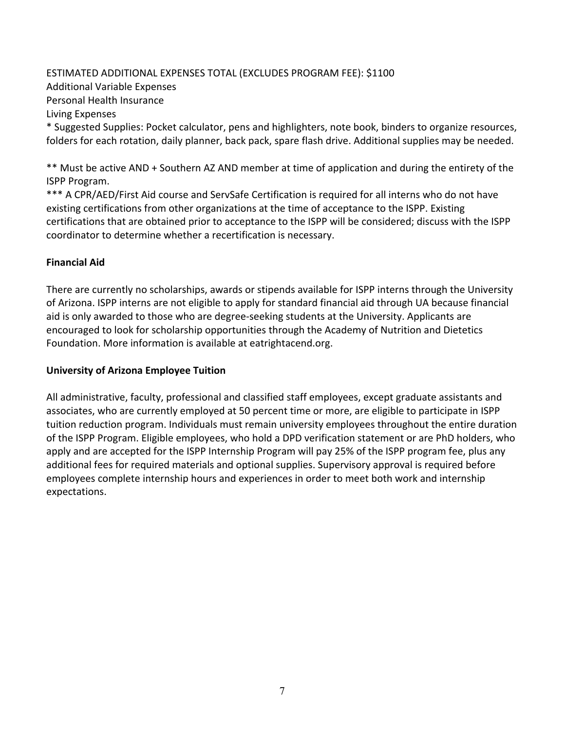## ESTIMATED ADDITIONAL EXPENSES TOTAL (EXCLUDES PROGRAM FEE): \$1100 Additional Variable Expenses Personal Health Insurance Living Expenses

\* Suggested Supplies: Pocket calculator, pens and highlighters, note book, binders to organize resources, folders for each rotation, daily planner, back pack, spare flash drive. Additional supplies may be needed.

\*\* Must be active AND + Southern AZ AND member at time of application and during the entirety of the ISPP Program.

\*\*\* A CPR/AED/First Aid course and ServSafe Certification is required for all interns who do not have existing certifications from other organizations at the time of acceptance to the ISPP. Existing certifications that are obtained prior to acceptance to the ISPP will be considered; discuss with the ISPP coordinator to determine whether a recertification is necessary.

### **Financial Aid**

There are currently no scholarships, awards or stipends available for ISPP interns through the University of Arizona. ISPP interns are not eligible to apply for standard financial aid through UA because financial aid is only awarded to those who are degree-seeking students at the University. Applicants are encouraged to look for scholarship opportunities through the Academy of Nutrition and Dietetics Foundation. More information is available at eatrightacend.org.

### **University of Arizona Employee Tuition**

All administrative, faculty, professional and classified staff employees, except graduate assistants and associates, who are currently employed at 50 percent time or more, are eligible to participate in ISPP tuition reduction program. Individuals must remain university employees throughout the entire duration of the ISPP Program. Eligible employees, who hold a DPD verification statement or are PhD holders, who apply and are accepted for the ISPP Internship Program will pay 25% of the ISPP program fee, plus any additional fees for required materials and optional supplies. Supervisory approval is required before employees complete internship hours and experiences in order to meet both work and internship expectations.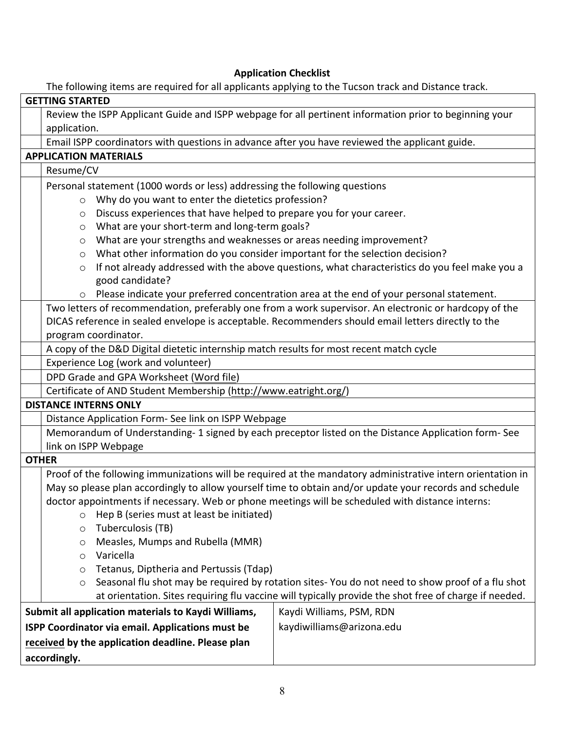### **Application Checklist**

The following items are required for all applicants applying to the Tucson track and Distance track.

| The rollowing riems are required for all applicaties applying to the racsoft track and Distance track.<br><b>GETTING STARTED</b> |                                                                                                             |  |  |
|----------------------------------------------------------------------------------------------------------------------------------|-------------------------------------------------------------------------------------------------------------|--|--|
|                                                                                                                                  |                                                                                                             |  |  |
| Review the ISPP Applicant Guide and ISPP webpage for all pertinent information prior to beginning your<br>application.           |                                                                                                             |  |  |
|                                                                                                                                  |                                                                                                             |  |  |
| Email ISPP coordinators with questions in advance after you have reviewed the applicant guide.<br><b>APPLICATION MATERIALS</b>   |                                                                                                             |  |  |
| Resume/CV                                                                                                                        |                                                                                                             |  |  |
|                                                                                                                                  |                                                                                                             |  |  |
| Personal statement (1000 words or less) addressing the following questions                                                       |                                                                                                             |  |  |
| Why do you want to enter the dietetics profession?<br>$\circ$                                                                    |                                                                                                             |  |  |
|                                                                                                                                  | Discuss experiences that have helped to prepare you for your career.<br>$\circ$                             |  |  |
| What are your short-term and long-term goals?<br>$\circ$                                                                         |                                                                                                             |  |  |
| What are your strengths and weaknesses or areas needing improvement?<br>$\circ$                                                  |                                                                                                             |  |  |
| $\circ$                                                                                                                          | What other information do you consider important for the selection decision?                                |  |  |
| $\circ$                                                                                                                          | If not already addressed with the above questions, what characteristics do you feel make you a              |  |  |
| good candidate?                                                                                                                  |                                                                                                             |  |  |
| Please indicate your preferred concentration area at the end of your personal statement.                                         |                                                                                                             |  |  |
| Two letters of recommendation, preferably one from a work supervisor. An electronic or hardcopy of the                           |                                                                                                             |  |  |
| DICAS reference in sealed envelope is acceptable. Recommenders should email letters directly to the                              |                                                                                                             |  |  |
| program coordinator.                                                                                                             |                                                                                                             |  |  |
| A copy of the D&D Digital dietetic internship match results for most recent match cycle                                          |                                                                                                             |  |  |
| Experience Log (work and volunteer)                                                                                              |                                                                                                             |  |  |
| DPD Grade and GPA Worksheet (Word file)                                                                                          |                                                                                                             |  |  |
| Certificate of AND Student Membership (http://www.eatright.org/)                                                                 |                                                                                                             |  |  |
| <b>DISTANCE INTERNS ONLY</b>                                                                                                     |                                                                                                             |  |  |
| Distance Application Form- See link on ISPP Webpage                                                                              |                                                                                                             |  |  |
|                                                                                                                                  | Memorandum of Understanding-1 signed by each preceptor listed on the Distance Application form-See          |  |  |
| link on ISPP Webpage                                                                                                             |                                                                                                             |  |  |
| <b>OTHER</b>                                                                                                                     |                                                                                                             |  |  |
|                                                                                                                                  | Proof of the following immunizations will be required at the mandatory administrative intern orientation in |  |  |
|                                                                                                                                  | May so please plan accordingly to allow yourself time to obtain and/or update your records and schedule     |  |  |
| doctor appointments if necessary. Web or phone meetings will be scheduled with distance interns:                                 |                                                                                                             |  |  |
| Hep B (series must at least be initiated)<br>$\circ$                                                                             |                                                                                                             |  |  |
| Tuberculosis (TB)<br>$\circ$                                                                                                     |                                                                                                             |  |  |
| Measles, Mumps and Rubella (MMR)<br>O                                                                                            |                                                                                                             |  |  |
| Varicella<br>$\circ$                                                                                                             |                                                                                                             |  |  |
| Tetanus, Diptheria and Pertussis (Tdap)<br>$\circ$                                                                               |                                                                                                             |  |  |
| Seasonal flu shot may be required by rotation sites-You do not need to show proof of a flu shot<br>$\circ$                       |                                                                                                             |  |  |
| at orientation. Sites requiring flu vaccine will typically provide the shot free of charge if needed.                            |                                                                                                             |  |  |
| Submit all application materials to Kaydi Williams,                                                                              | Kaydi Williams, PSM, RDN                                                                                    |  |  |
| ISPP Coordinator via email. Applications must be                                                                                 | kaydiwilliams@arizona.edu                                                                                   |  |  |
| received by the application deadline. Please plan                                                                                |                                                                                                             |  |  |
|                                                                                                                                  |                                                                                                             |  |  |
| accordingly.                                                                                                                     |                                                                                                             |  |  |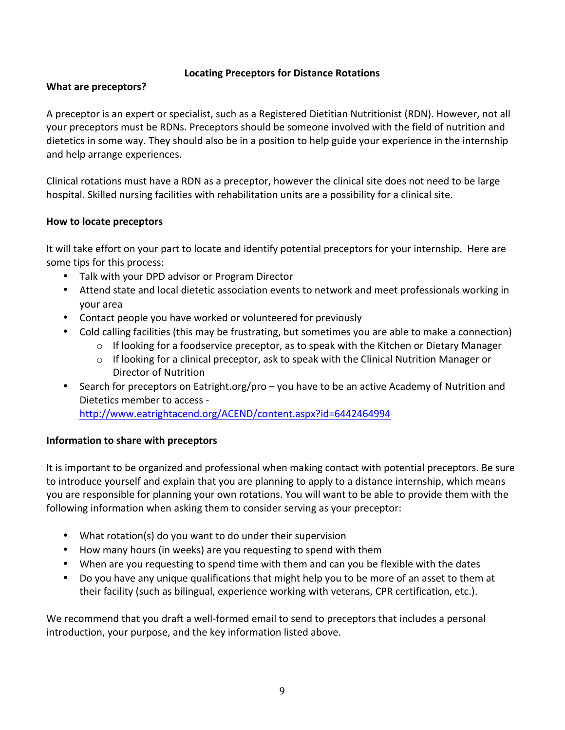### **Locating Preceptors for Distance Rotations**

### **What are preceptors?**

A preceptor is an expert or specialist, such as a Registered Dietitian Nutritionist (RDN). However, not all your preceptors must be RDNs. Preceptors should be someone involved with the field of nutrition and dietetics in some way. They should also be in a position to help guide your experience in the internship and help arrange experiences.

Clinical rotations must have a RDN as a preceptor, however the clinical site does not need to be large hospital. Skilled nursing facilities with rehabilitation units are a possibility for a clinical site.

### **How to locate preceptors**

It will take effort on your part to locate and identify potential preceptors for your internship. Here are some tips for this process:

- Talk with your DPD advisor or Program Director
- Attend state and local dietetic association events to network and meet professionals working in your area
- Contact people you have worked or volunteered for previously
- Cold calling facilities (this may be frustrating, but sometimes you are able to make a connection)
	- $\circ$  If looking for a foodservice preceptor, as to speak with the Kitchen or Dietary Manager
	- $\circ$  If looking for a clinical preceptor, ask to speak with the Clinical Nutrition Manager or Director of Nutrition
- Search for preceptors on Eatright.org/pro you have to be an active Academy of Nutrition and Dietetics member to access http://www.eatrightacend.org/ACEND/content.aspx?id=6442464994

### **Information to share with preceptors**

It is important to be organized and professional when making contact with potential preceptors. Be sure to introduce yourself and explain that you are planning to apply to a distance internship, which means you are responsible for planning your own rotations. You will want to be able to provide them with the following information when asking them to consider serving as your preceptor:

- What rotation(s) do you want to do under their supervision
- How many hours (in weeks) are you requesting to spend with them
- When are you requesting to spend time with them and can you be flexible with the dates
- Do you have any unique qualifications that might help you to be more of an asset to them at their facility (such as bilingual, experience working with veterans, CPR certification, etc.).

We recommend that you draft a well-formed email to send to preceptors that includes a personal introduction, your purpose, and the key information listed above.